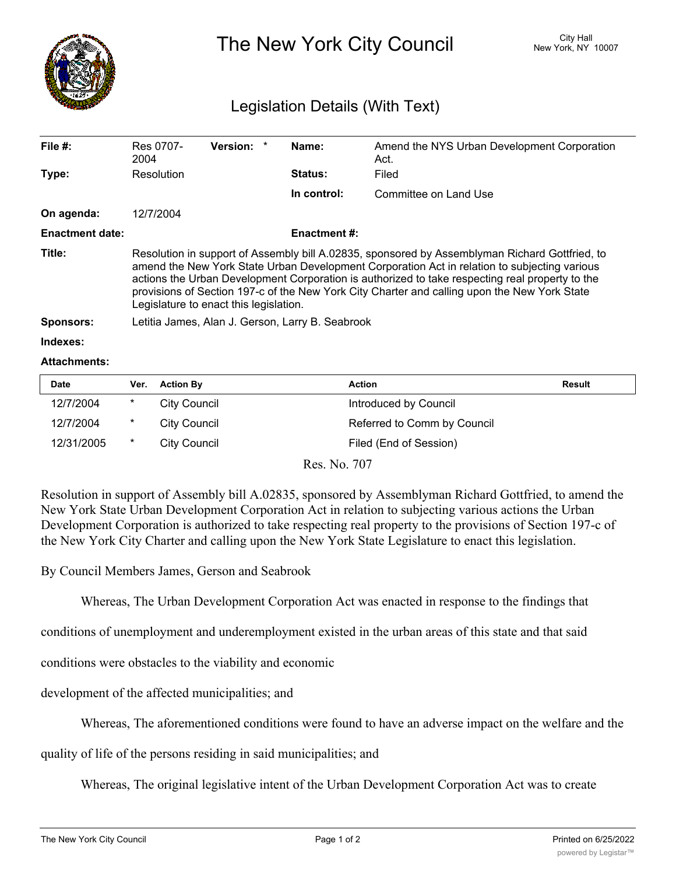

## The New York City Council New York, NY 10007

## Legislation Details (With Text)

| File $#$ :             | Res 0707-<br>2004                                                                                                                                                                                                                                                                                                                                                                                                                           | <b>Version:</b> |  | Name:       | Amend the NYS Urban Development Corporation<br>Act. |  |  |
|------------------------|---------------------------------------------------------------------------------------------------------------------------------------------------------------------------------------------------------------------------------------------------------------------------------------------------------------------------------------------------------------------------------------------------------------------------------------------|-----------------|--|-------------|-----------------------------------------------------|--|--|
| Type:                  | Resolution                                                                                                                                                                                                                                                                                                                                                                                                                                  |                 |  | Status:     | Filed                                               |  |  |
|                        |                                                                                                                                                                                                                                                                                                                                                                                                                                             |                 |  | In control: | Committee on Land Use                               |  |  |
| On agenda:             | 12/7/2004                                                                                                                                                                                                                                                                                                                                                                                                                                   |                 |  |             |                                                     |  |  |
| <b>Enactment date:</b> | <b>Enactment #:</b>                                                                                                                                                                                                                                                                                                                                                                                                                         |                 |  |             |                                                     |  |  |
| Title:                 | Resolution in support of Assembly bill A.02835, sponsored by Assemblyman Richard Gottfried, to<br>amend the New York State Urban Development Corporation Act in relation to subjecting various<br>actions the Urban Development Corporation is authorized to take respecting real property to the<br>provisions of Section 197-c of the New York City Charter and calling upon the New York State<br>Legislature to enact this legislation. |                 |  |             |                                                     |  |  |
| <b>Sponsors:</b>       | Letitia James, Alan J. Gerson, Larry B. Seabrook                                                                                                                                                                                                                                                                                                                                                                                            |                 |  |             |                                                     |  |  |
| Indexes:               |                                                                                                                                                                                                                                                                                                                                                                                                                                             |                 |  |             |                                                     |  |  |

## **Attachments:**

| <b>Date</b> | Ver.    | <b>Action By</b> | <b>Action</b>               | Result |
|-------------|---------|------------------|-----------------------------|--------|
| 12/7/2004   | $\ast$  | City Council     | Introduced by Council       |        |
| 12/7/2004   | $\star$ | City Council     | Referred to Comm by Council |        |
| 12/31/2005  | $\ast$  | City Council     | Filed (End of Session)      |        |

Res. No. 707

Resolution in support of Assembly bill A.02835, sponsored by Assemblyman Richard Gottfried, to amend the New York State Urban Development Corporation Act in relation to subjecting various actions the Urban Development Corporation is authorized to take respecting real property to the provisions of Section 197-c of the New York City Charter and calling upon the New York State Legislature to enact this legislation.

By Council Members James, Gerson and Seabrook

Whereas, The Urban Development Corporation Act was enacted in response to the findings that

conditions of unemployment and underemployment existed in the urban areas of this state and that said

conditions were obstacles to the viability and economic

development of the affected municipalities; and

Whereas, The aforementioned conditions were found to have an adverse impact on the welfare and the

quality of life of the persons residing in said municipalities; and

Whereas, The original legislative intent of the Urban Development Corporation Act was to create